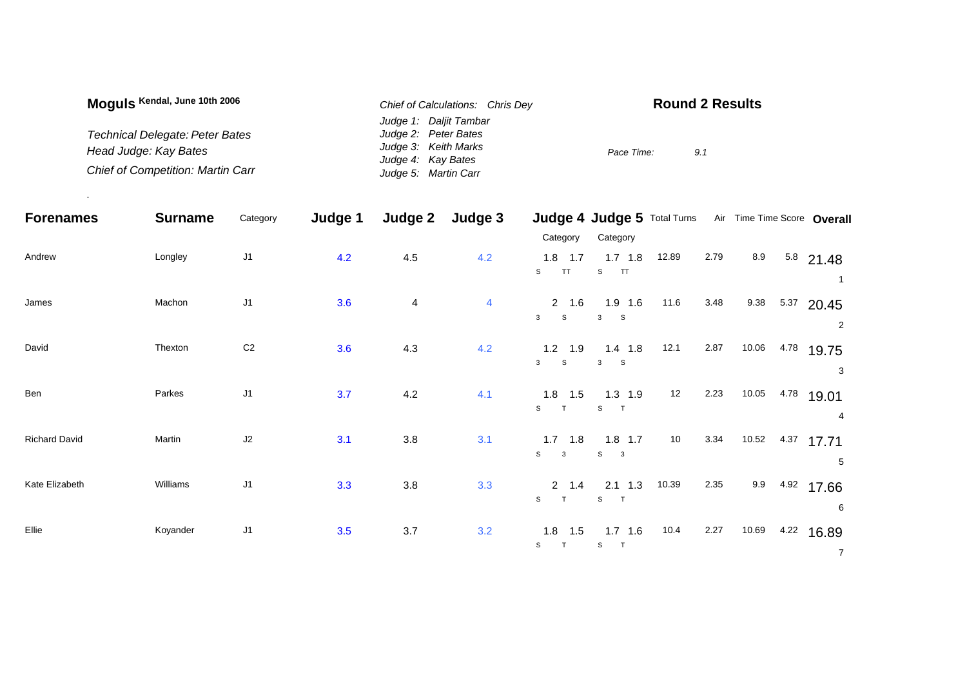| Moguls Kendal, June 10th 2006            | Chief of Calculations: Chris Dev | <b>Round 2 Results</b> |  |  |  |  |
|------------------------------------------|----------------------------------|------------------------|--|--|--|--|
|                                          | Judge 1: Daljit Tambar           |                        |  |  |  |  |
| <b>Technical Delegate: Peter Bates</b>   | Judge 2: Peter Bates             |                        |  |  |  |  |
| Head Judge: Kay Bates                    | Judge 3: Keith Marks             | Pace Time:<br>9.1      |  |  |  |  |
|                                          | Judge 4: Kay Bates               |                        |  |  |  |  |
| <b>Chief of Competition: Martin Carr</b> | Judge 5: Martin Carr             |                        |  |  |  |  |

.

| <b>Forenames</b>     | <b>Surname</b> | Category       | Judge 1 | Judge 2 | Judge 3        |                                | Judge 4 Judge 5 Total Turns      |       |      |       |      | Air Time Time Score Overall |
|----------------------|----------------|----------------|---------|---------|----------------|--------------------------------|----------------------------------|-------|------|-------|------|-----------------------------|
|                      |                |                |         |         |                | Category                       | Category                         |       |      |       |      |                             |
| Andrew               | Longley        | J <sub>1</sub> | 4.2     | 4.5     | 4.2            | $1.8$ 1.7<br>S<br><b>TT</b>    | $1.7$ 1.8<br>S<br>TT             | 12.89 | 2.79 | 8.9   |      | $5.8$ 21.48                 |
| James                | Machon         | J1             | 3.6     | 4       | $\overline{4}$ | 2 1.6<br>$\mathbf{3}$<br>S     | $1.9$ 1.6<br>3<br>S              | 11.6  | 3.48 | 9.38  |      | $5.37$ 20.45<br>2           |
| David                | Thexton        | $\mbox{C2}$    | 3.6     | 4.3     | 4.2            | $1.2$ 1.9<br>S<br>$\mathbf{3}$ | $1.4$ 1.8<br>$\mathbf{3}$<br>S   | 12.1  | 2.87 | 10.06 |      | 4.78 19.75<br>3             |
| Ben                  | Parkes         | J <sub>1</sub> | 3.7     | 4.2     | 4.1            | $1.8$ 1.5<br>S<br>T            | $1.3$ 1.9<br>S<br>$\top$         | 12    | 2.23 | 10.05 | 4.78 | 19.01<br>4                  |
| <b>Richard David</b> | Martin         | J2             | 3.1     | 3.8     | 3.1            | $1.7$ 1.8<br>S<br>$\mathbf{3}$ | $1.8$ 1.7<br>S<br>$\mathbf{3}$   | 10    | 3.34 |       |      | 10.52 4.37 17.71<br>5       |
| Kate Elizabeth       | Williams       | J <sub>1</sub> | 3.3     | 3.8     | 3.3            | $2 \t1.4$<br>S<br>T            | $2.1$ 1.3<br>S T                 | 10.39 | 2.35 | 9.9   |      | 4.92 17.66<br>6             |
| Ellie                | Koyander       | $\sf J1$       | 3.5     | $3.7\,$ | 3.2            | $1.8$ 1.5<br>$\mathsf{s}$<br>T | $1.7$ 1.6<br>S<br>$\overline{r}$ | 10.4  | 2.27 | 10.69 |      | $4.22$ 16.89<br>$7^{\circ}$ |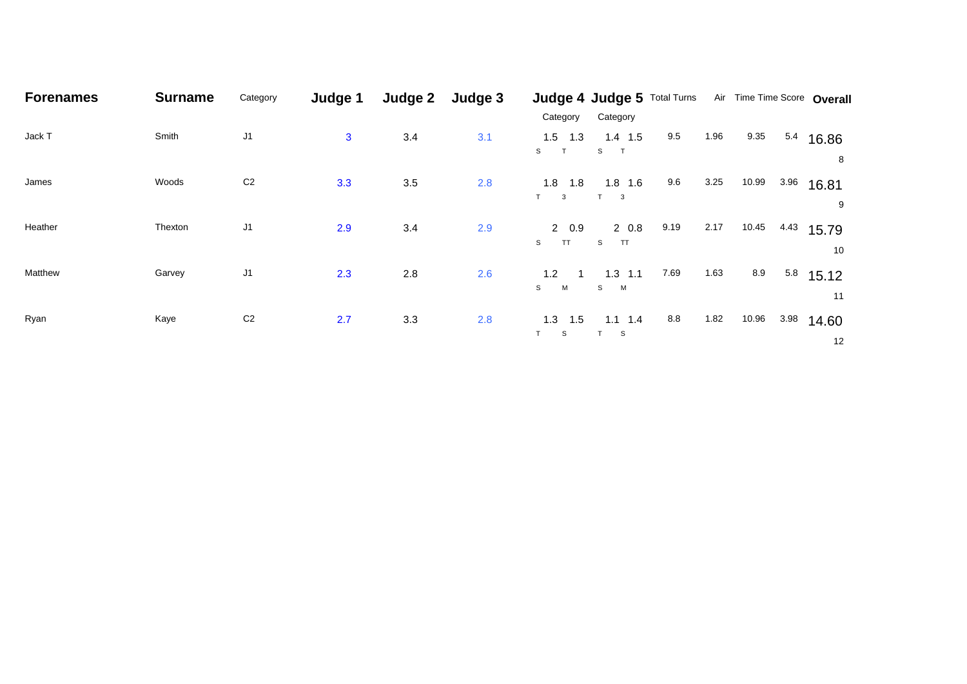| <b>Forenames</b> | <b>Surname</b> | Category       | Judge 1      | Judge 2 | Judge 3 |                                           | Judge 4 Judge 5 Total Turns |      |      | Air Time Time Score Overall |      |                          |
|------------------|----------------|----------------|--------------|---------|---------|-------------------------------------------|-----------------------------|------|------|-----------------------------|------|--------------------------|
|                  |                |                |              |         |         | Category                                  | Category                    |      |      |                             |      |                          |
| Jack T           | Smith          | J <sub>1</sub> | $\mathbf{3}$ | 3.4     | 3.1     | $1.5$ 1.3<br>$\mathsf{s}$<br>$\mathsf{T}$ | $1.4$ 1.5<br>$\mathsf{s}$   | 9.5  | 1.96 | 9.35                        |      | 5.4 16.86                |
|                  |                |                |              |         |         |                                           |                             |      |      |                             |      | 8                        |
| James            | Woods          | C <sub>2</sub> | 3.3          | 3.5     | 2.8     | 1.8<br>1.8                                | $1.8$ 1.6                   | 9.6  | 3.25 | 10.99                       | 3.96 | 16.81                    |
|                  |                |                |              |         |         | T<br>$\mathbf{3}$                         | $T \qquad 3$                |      |      |                             |      | 9                        |
| Heather          | Thexton        | J <sub>1</sub> | 2.9          | 3.4     | 2.9     | 20.9<br><b>TT</b><br>S                    | 20.8<br>S<br>TT             | 9.19 | 2.17 | 10.45                       | 4.43 | 15.79<br>10              |
| Matthew          | Garvey         | J <sub>1</sub> | 2.3          | 2.8     | 2.6     | 1.2<br>S<br>M                             | $1.3$ 1.1<br>S M            | 7.69 | 1.63 | 8.9                         |      | $5.8$ 15.12<br>11        |
| Ryan             | Kaye           | C <sub>2</sub> | 2.7          | 3.3     | 2.8     | 1.5<br>1.3<br>T.<br>S                     | $1.1$ 1.4<br><sub>S</sub>   | 8.8  | 1.82 | 10.96                       | 3.98 | 14.60<br>12 <sup>°</sup> |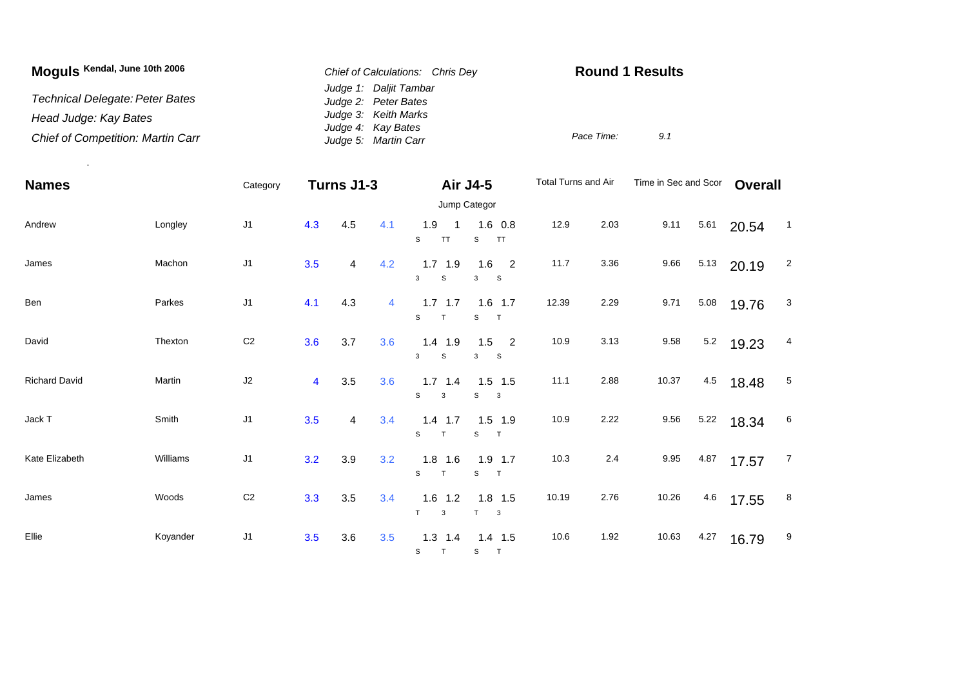| Moguls Kendal, June 10th 2006            | Chief of Calculations: Chris Dev | <b>Round 1 Results</b> |     |  |  |  |
|------------------------------------------|----------------------------------|------------------------|-----|--|--|--|
|                                          | Judge 1: Daljit Tambar           |                        |     |  |  |  |
| Technical Delegate: Peter Bates          | Judge 2: Peter Bates             |                        |     |  |  |  |
| Head Judge: Kay Bates                    | Judge 3: Keith Marks             |                        |     |  |  |  |
|                                          | Judge 4: Kay Bates               |                        |     |  |  |  |
| <b>Chief of Competition: Martin Carr</b> | Judge 5: Martin Carr             | Pace Time:             | 9.1 |  |  |  |

.

| <b>Names</b>         |          | Category       |                         | Turns J1-3 |     |                                           | Total Turns and Air<br><b>Air J4-5</b>              |       |       | Time in Sec and Scor |      | <b>Overall</b> |                 |
|----------------------|----------|----------------|-------------------------|------------|-----|-------------------------------------------|-----------------------------------------------------|-------|-------|----------------------|------|----------------|-----------------|
|                      |          |                |                         |            |     |                                           | Jump Categor                                        |       |       |                      |      |                |                 |
| Andrew               | Longley  | J1             | 4.3                     | 4.5        | 4.1 | 1.9<br>$\overline{1}$<br>S<br><b>TT</b>   | $1.6$ 0.8<br>TT<br>S                                | 12.9  | 2.03  | 9.11                 | 5.61 | 20.54          | $\overline{1}$  |
| James                | Machon   | J1             | 3.5                     | 4          | 4.2 | $1.7$ 1.9<br>3<br>$\mathbb S$             | $\overline{\phantom{0}}$<br>1.6<br>$\mathsf S$<br>3 | 11.7  | 3.36  | 9.66                 | 5.13 | 20.19          | $\overline{2}$  |
| Ben                  | Parkes   | J1             | 4.1                     | 4.3        | 4   | $1.7$ 1.7<br>$\mathsf{s}$<br>$\mathsf{T}$ | $1.6$ 1.7<br>S<br>$\top$                            | 12.39 | 2.29  | 9.71                 | 5.08 | 19.76          | $\mathbf{3}$    |
| David                | Thexton  | C <sub>2</sub> | 3.6                     | 3.7        | 3.6 | $1.4$ 1.9<br>3<br>S                       | $1.5$ 2<br>$\mathbf{s}$<br>3                        | 10.9  | 3.13  | 9.58                 | 5.2  | 19.23          | 4               |
| <b>Richard David</b> | Martin   | J2             | $\overline{\mathbf{4}}$ | 3.5        | 3.6 | $1.7$ 1.4<br>S<br>$\mathbf{3}$            | $1.5$ 1.5<br>S<br>$\overline{\mathbf{3}}$           | 11.1  | 2.88  | 10.37                | 4.5  | 18.48          | $5\phantom{.0}$ |
| Jack T               | Smith    | J1             | 3.5                     | 4          | 3.4 | $1.4$ 1.7<br>S<br>T                       | $1.5$ 1.9<br>S<br>T                                 | 10.9  | 2.22  | 9.56                 | 5.22 | 18.34          | 6               |
| Kate Elizabeth       | Williams | J1             | 3.2                     | 3.9        | 3.2 | $1.8$ 1.6<br>S<br>T                       | $1.9$ 1.7<br>S<br>$\top$                            | 10.3  | $2.4$ | 9.95                 | 4.87 | 17.57          | $\overline{7}$  |
| James                | Woods    | $\mbox{C2}$    | 3.3                     | 3.5        | 3.4 | $1.6$ 1.2<br>T<br>3                       | $1.8$ 1.5<br>T<br>$\mathbf{3}$                      | 10.19 | 2.76  | 10.26                | 4.6  | 17.55          | 8               |
| Ellie                | Koyander | J1             | 3.5                     | 3.6        | 3.5 | $1.3$ 1.4<br>S<br>T                       | $1.4$ 1.5<br>S T                                    | 10.6  | 1.92  | 10.63                | 4.27 | 16.79          | 9               |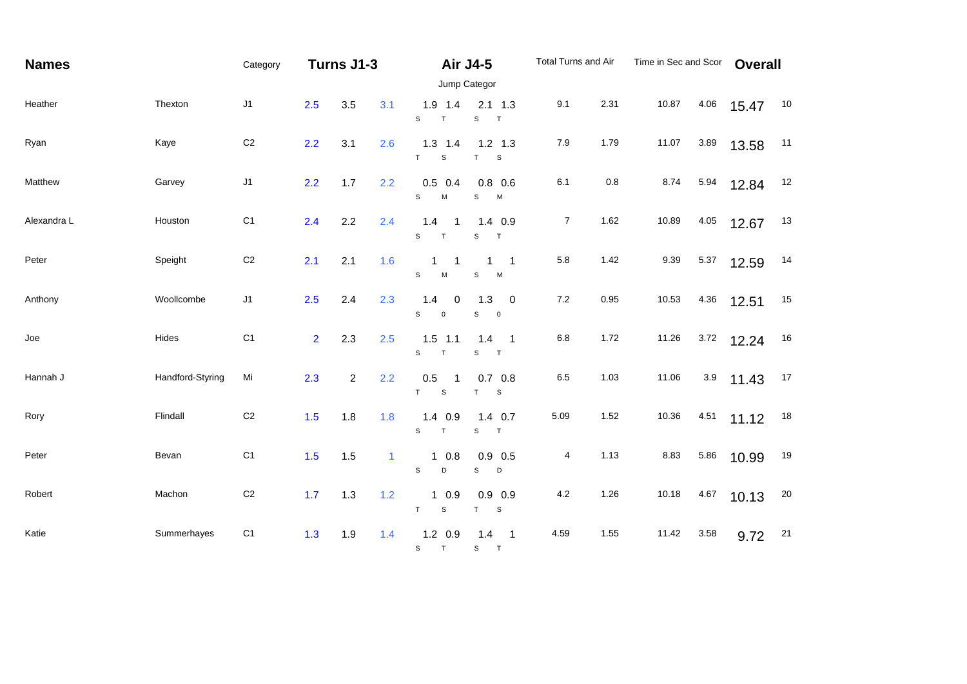| <b>Names</b> |                  | Category       |                | Turns J1-3     |              | <b>Air J4-5</b><br>Jump Categor            |                                                            | Total Turns and Air |         | Time in Sec and Scor |         | <b>Overall</b> |    |
|--------------|------------------|----------------|----------------|----------------|--------------|--------------------------------------------|------------------------------------------------------------|---------------------|---------|----------------------|---------|----------------|----|
| Heather      | Thexton          | J1             | 2.5            | 3.5            | 3.1          | $1.9$ 1.4<br>$\mathsf{s}$<br>$\top$        | $2.1$ 1.3<br>${\tt S}$<br>T                                | 9.1                 | 2.31    | 10.87                | 4.06    | 15.47          | 10 |
| Ryan         | Kaye             | $\mathsf{C}2$  | 2.2            | 3.1            | 2.6          | $1.3$ 1.4<br>T<br>$\mathsf S$              | $1.2$ 1.3<br>T<br>$\mathsf S$                              | 7.9                 | 1.79    | 11.07                | 3.89    | 13.58          | 11 |
| Matthew      | Garvey           | $\sf J1$       | 2.2            | 1.7            | 2.2          | $0.5$ 0.4<br>$\mathbb S$<br>M              | $0.8\ 0.6$<br>S<br>M                                       | 6.1                 | $0.8\,$ | 8.74                 | 5.94    | 12.84          | 12 |
| Alexandra L  | Houston          | C <sub>1</sub> | 2.4            | 2.2            | 2.4          | 1.4<br>$\overline{1}$<br>$\mathsf{s}$<br>T | $1.4$ 0.9<br>$\mathsf{s}$<br>T                             | $\overline{7}$      | 1.62    | 10.89                | 4.05    | 12.67          | 13 |
| Peter        | Speight          | $\mathsf{C}2$  | 2.1            | 2.1            | 1.6          | 1<br>-1<br>S<br>M                          | $\overline{1}$<br>1<br>$\mathbb S$<br>M                    | 5.8                 | 1.42    | 9.39                 | 5.37    | 12.59          | 14 |
| Anthony      | Woollcombe       | J1             | 2.5            | 2.4            | 2.3          | 1.4<br>0<br>S<br>$\mathbf 0$               | 1.3<br>$\overline{0}$<br>S<br>$\overline{\mathbf{0}}$      | $7.2\,$             | 0.95    | 10.53                | 4.36    | 12.51          | 15 |
| Joe          | Hides            | C <sub>1</sub> | $\overline{2}$ | 2.3            | 2.5          | $1.5$ 1.1<br>S<br>$\top$                   | 1.4<br>$\overline{\phantom{0}}$ 1<br>$\mathbb S$<br>$\top$ | $6.8\,$             | 1.72    | 11.26                | 3.72    | 12.24          | 16 |
| Hannah J     | Handford-Styring | Mi             | 2.3            | $\overline{c}$ | 2.2          | $0.5\,$<br>T<br>$\mathsf S$                | $0.7\quad 0.8$<br>T<br>$\mathsf{s}$                        | $6.5\,$             | 1.03    | 11.06                | $3.9\,$ | 11.43          | 17 |
| Rory         | Flindall         | $\mathsf{C}2$  | 1.5            | 1.8            | 1.8          | $1.4$ 0.9<br>S<br>T                        | $1.4$ 0.7<br>S<br>T                                        | 5.09                | 1.52    | 10.36                | 4.51    | 11.12          | 18 |
| Peter        | Bevan            | C <sub>1</sub> | 1.5            | 1.5            | $\mathbf{1}$ | $1 \t0.8$<br>S<br>D                        | $0.9$ 0.5<br>S<br>D                                        | 4                   | 1.13    | 8.83                 | 5.86    | 10.99          | 19 |
| Robert       | Machon           | $\mathsf{C}2$  | 1.7            | 1.3            | 1.2          | 10.9<br>T<br>$\mathsf S$                   | $0.9\ 0.9$<br>T<br>$\mathsf S$                             | 4.2                 | 1.26    | 10.18                | 4.67    | 10.13          | 20 |
| Katie        | Summerhayes      | C <sub>1</sub> | 1.3            | 1.9            | 1.4          | $1.2 \quad 0.9$<br>T<br>S                  | 1.4<br>$\overline{\phantom{0}}$ 1<br>S<br>T                | 4.59                | 1.55    | 11.42                | 3.58    | 9.72           | 21 |